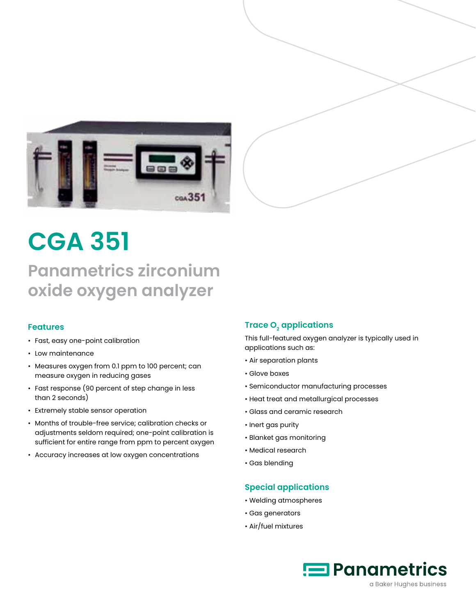



# **CGA 351**

## **Panametrics zirconium oxide oxygen analyzer**

#### **Features**

- Fast, easy one-point calibration
- Low maintenance
- Measures oxygen from 0.1 ppm to 100 percent; can measure oxygen in reducing gases
- Fast response (90 percent of step change in less than 2 seconds)
- Extremely stable sensor operation
- Months of trouble-free service; calibration checks or adjustments seldom required; one-point calibration is sufficient for entire range from ppm to percent oxygen
- Accuracy increases at low oxygen concentrations

#### **Trace O<sub>2</sub> applications**

This full-featured oxygen analyzer is typically used in applications such as:

- Air separation plants
- Glove boxes
- Semiconductor manufacturing processes
- Heat treat and metallurgical processes
- Glass and ceramic research
- Inert gas purity
- Blanket gas monitoring
- Medical research
- Gas blending

#### **Special applications**

- Welding atmospheres
- Gas generators
- Air/fuel mixtures

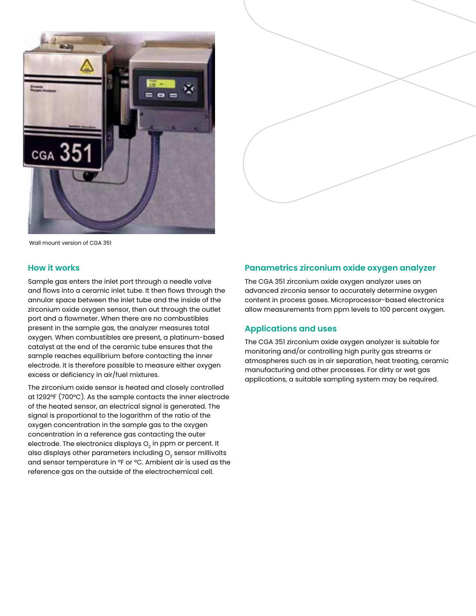



Wall mount version of CGA 351

#### **How it works**

Sample gas enters the inlet port through a needle valve and flows into a ceramic inlet tube. It then flows through the annular space between the inlet tube and the inside of the zirconium oxide oxygen sensor, then out through the outlet port and a flowmeter. When there are no combustibles present in the sample gas, the analyzer measures total oxygen. When combustibles are present, a platinum-based catalyst at the end of the ceramic tube ensures that the sample reaches equilibrium before contacting the inner electrode. It is therefore possible to measure either oxygen excess or deficiency in air/fuel mixtures.

The zirconium oxide sensor is heated and closely controlled at 1292°F (700°C). As the sample contacts the inner electrode of the heated sensor, an electrical signal is generated. The signal is proportional to the logarithm of the ratio of the oxygen concentration in the sample gas to the oxygen concentration in a reference gas contacting the outer electrode. The electronics displays O<sub>2</sub> in ppm or percent. It also displays other parameters including  $O<sub>2</sub>$  sensor millivolts and sensor temperature in °F or °C. Ambient air is used as the reference gas on the outside of the electrochemical cell.

#### **Panametrics zirconium oxide oxygen analyzer**

The CGA 351 zirconium oxide oxygen analyzer uses an advanced zirconia sensor to accurately determine oxygen content in process gases. Microprocessor-based electronics allow measurements from ppm levels to 100 percent oxygen.

#### **Applications and uses**

The CGA 351 zirconium oxide oxygen analyzer is suitable for monitoring and/or controlling high purity gas streams or atmospheres such as in air separation, heat treating, ceramic manufacturing and other processes. For dirty or wet gas applications, a suitable sampling system may be required.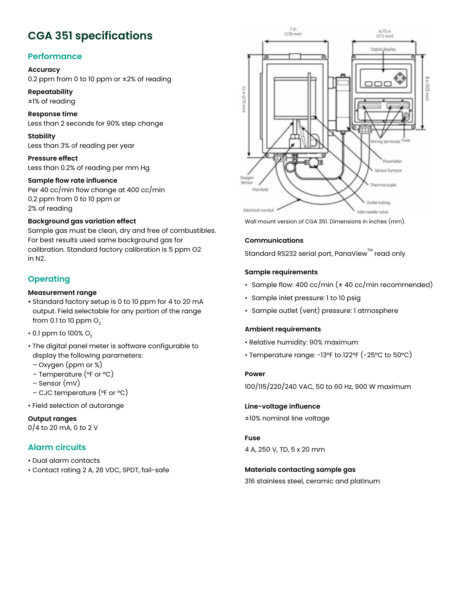### **CGA 351 specifications**

#### **Performance**

#### **Accuracy**

0.2 ppm from 0 to 10 ppm or ±2% of reading

#### **Repeatability**

±1% of reading

**Response time** Less than 2 seconds for 90% step change

**Stability** Less than 3% of reading per year

**Pressure effect** Less than 0.2% of reading per mm Hg

#### **Sample flow rate influence**

Per 40 cc/min flow change at 400 cc/min 0.2 ppm from 0 to 10 ppm or 2% of reading

#### **Background gas variation effect**

Sample gas must be clean, dry and free of combustibles. For best results used same background gas for calibration. Standard factory calibration is 5 ppm O2 in N2.

#### **Operating**

#### **Measurement range**

- Standard factory setup is 0 to 10 ppm for 4 to 20 mA output. Field selectable for any portion of the range from 0.1 to 10 ppm  $O<sub>2</sub>$
- $\cdot$  0.1 ppm to 100% O<sub>2</sub>
- The digital panel meter is software configurable to display the following parameters:
- Oxygen (ppm or %)
- Temperature (°F or °C)
- Sensor (mV)
- CJC temperature (°F or °C)
- Field selection of autorange

**Output ranges** 0/4 to 20 mA, 0 to 2 V

#### **Alarm circuits**

- Dual alarm contacts
- Contact rating 2 A, 28 VDC, SPDT, fail-safe



Wall mount version of CGA 351. Dimensions in inches (mm).

#### **Communications**

Standard RS232 serial port, PanaView™ read only

#### **Sample requirements**

- Sample flow: 400 cc/min (± 40 cc/min recommended)
- Sample inlet pressure: 1 to 10 psig
- Sample outlet (vent) pressure: 1 atmosphere

#### **Ambient requirements**

- Relative humidity: 90% maximum
- Temperature range: -13°F to 122°F (-25°C to 50°C)

#### **Power**

100/115/220/240 VAC, 50 to 60 Hz, 900 W maximum

**Line-voltage influence** ±10% nominal line voltage

#### **Fuse**

4 A, 250 V, TD, 5 x 20 mm

#### **Materials contacting sample gas**

316 stainless steel, ceramic and platinum